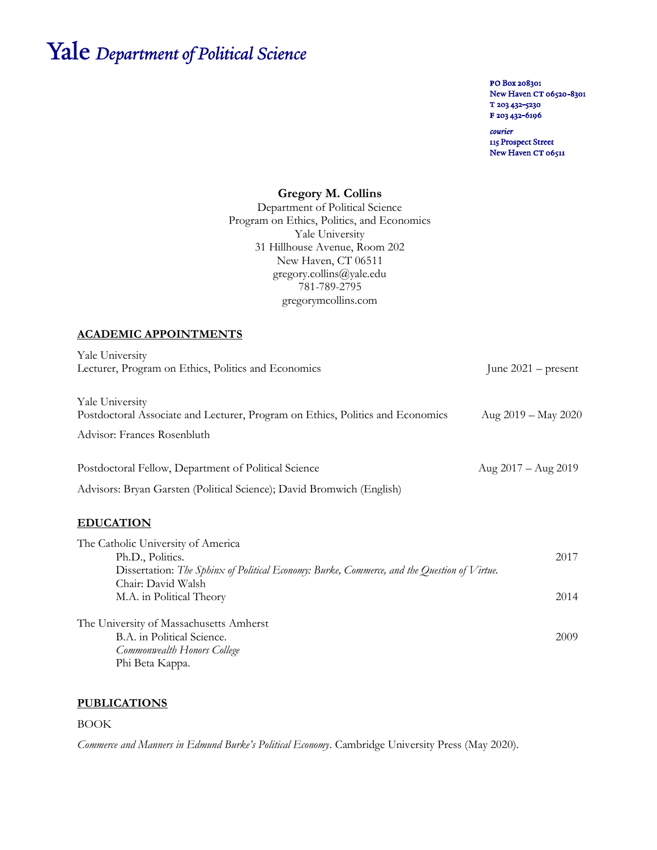# Yale Department of Political Science

PO Box 208301 New Haven CT 06520-8301 T 203 432-5230 F 203 432-6196

courier 115 Prospect Street New Haven CT 06511

# **Gregory M. Collins**

Department of Political Science Program on Ethics, Politics, and Economics Yale University 31 Hillhouse Avenue, Room 202 New Haven, CT 06511 gregory.collins@yale.edu 781-789-2795 gregorymcollins.com

# **ACADEMIC APPOINTMENTS**

| Yale University<br>Lecturer, Program on Ethics, Politics and Economics                                                                                | June $2021$ – present         |
|-------------------------------------------------------------------------------------------------------------------------------------------------------|-------------------------------|
| Yale University<br>Postdoctoral Associate and Lecturer, Program on Ethics, Politics and Economics                                                     | Aug $2019 - May 2020$         |
| Advisor: Frances Rosenbluth                                                                                                                           |                               |
| Postdoctoral Fellow, Department of Political Science                                                                                                  | Aug $2017 - \text{Aug } 2019$ |
| Advisors: Bryan Garsten (Political Science); David Bromwich (English)                                                                                 |                               |
| <b>EDUCATION</b>                                                                                                                                      |                               |
| The Catholic University of America<br>Ph.D., Politics.<br>Dissertation: The Sphinx of Political Economy: Burke, Commerce, and the Question of Virtue. | 2017                          |
| Chair: David Walsh<br>M.A. in Political Theory                                                                                                        | 2014                          |
| The University of Massachusetts Amherst<br>B.A. in Political Science.<br>Commonwealth Honors College<br>Phi Beta Kappa.                               | 2009                          |

# **PUBLICATIONS**

BOOK

*Commerce and Manners in Edmund Burke's Political Economy*. Cambridge University Press (May 2020).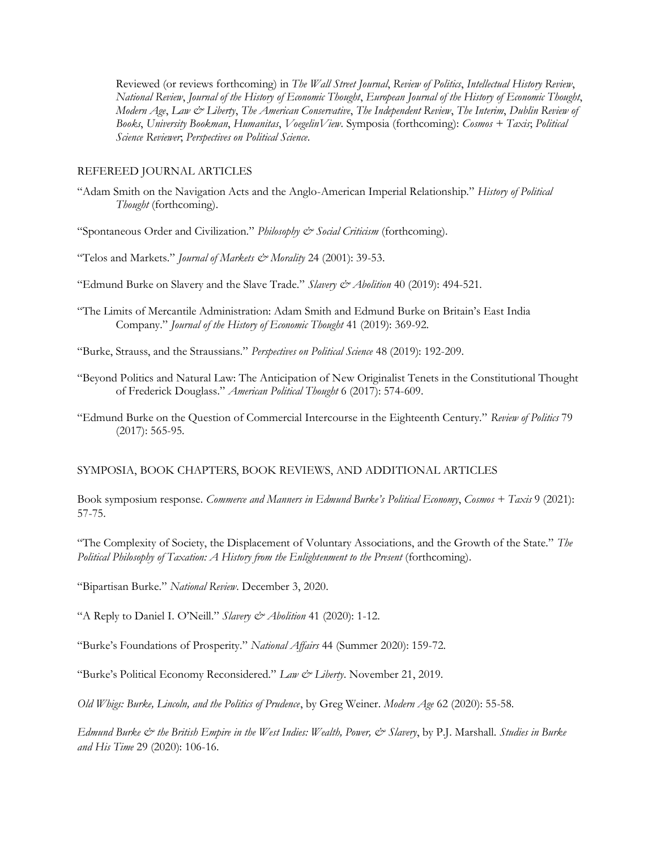Reviewed (or reviews forthcoming) in *The Wall Street Journal*, *Review of Politics*, *Intellectual History Review*, *National Review*, *Journal of the History of Economic Thought*, *European Journal of the History of Economic Thought*, *Modern Age*, *Law & Liberty*, *The American Conservative*, *The Independent Review*, *The Interim*, *Dublin Review of Books*, *University Bookman*, *Humanitas*, *VoegelinView*. Symposia (forthcoming): *Cosmos + Taxis*; *Political Science Reviewer*; *Perspectives on Political Science*.

#### REFEREED JOURNAL ARTICLES

"Adam Smith on the Navigation Acts and the Anglo-American Imperial Relationship." *History of Political Thought* (forthcoming).

"Spontaneous Order and Civilization." *Philosophy & Social Criticism* (forthcoming).

"Telos and Markets." *Journal of Markets & Morality* 24 (2001): 39-53.

"Edmund Burke on Slavery and the Slave Trade." *Slavery & Abolition* 40 (2019): 494-521.

"The Limits of Mercantile Administration: Adam Smith and Edmund Burke on Britain's East India Company." *Journal of the History of Economic Thought* 41 (2019): 369-92.

"Burke, Strauss, and the Straussians." *Perspectives on Political Science* 48 (2019): 192-209.

- "Beyond Politics and Natural Law: The Anticipation of New Originalist Tenets in the Constitutional Thought of Frederick Douglass." *American Political Thought* 6 (2017): 574-609.
- "Edmund Burke on the Question of Commercial Intercourse in the Eighteenth Century." *Review of Politics* 79 (2017): 565-95.

#### SYMPOSIA, BOOK CHAPTERS, BOOK REVIEWS, AND ADDITIONAL ARTICLES

Book symposium response. *Commerce and Manners in Edmund Burke's Political Economy*, *Cosmos + Taxis* 9 (2021): 57-75.

"The Complexity of Society, the Displacement of Voluntary Associations, and the Growth of the State." *The Political Philosophy of Taxation: A History from the Enlightenment to the Present* (forthcoming).

"Bipartisan Burke." *National Review*. December 3, 2020.

"A Reply to Daniel I. O'Neill." *Slavery & Abolition* 41 (2020): 1-12.

"Burke's Foundations of Prosperity." *National Affairs* 44 (Summer 2020): 159-72.

"Burke's Political Economy Reconsidered." *Law & Liberty*. November 21, 2019.

*Old Whigs: Burke, Lincoln, and the Politics of Prudence*, by Greg Weiner. *Modern Age* 62 (2020): 55-58.

*Edmund Burke & the British Empire in the West Indies: Wealth, Power, & Slavery*, by P.J. Marshall. *Studies in Burke and His Time* 29 (2020): 106-16.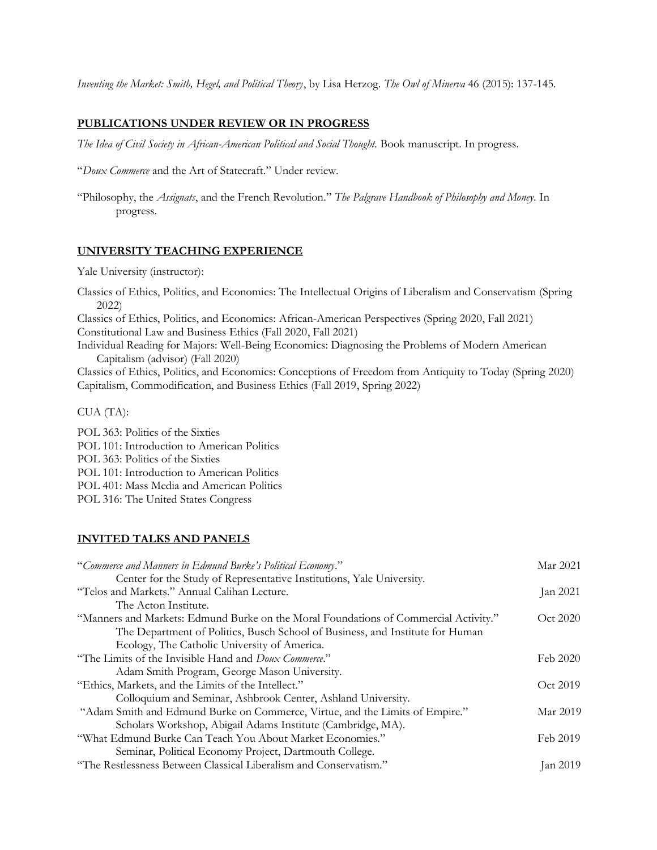*Inventing the Market: Smith, Hegel, and Political Theory*, by Lisa Herzog. *The Owl of Minerva* 46 (2015): 137-145.

## **PUBLICATIONS UNDER REVIEW OR IN PROGRESS**

*The Idea of Civil Society in African-American Political and Social Thought.* Book manuscript. In progress.

"*Doux Commerce* and the Art of Statecraft." Under review.

"Philosophy, the *Assignats*, and the French Revolution." *The Palgrave Handbook of Philosophy and Money*. In progress.

#### **UNIVERSITY TEACHING EXPERIENCE**

Yale University (instructor):

Classics of Ethics, Politics, and Economics: The Intellectual Origins of Liberalism and Conservatism (Spring 2022)

Classics of Ethics, Politics, and Economics: African-American Perspectives (Spring 2020, Fall 2021) Constitutional Law and Business Ethics (Fall 2020, Fall 2021)

Individual Reading for Majors: Well-Being Economics: Diagnosing the Problems of Modern American Capitalism (advisor) (Fall 2020)

Classics of Ethics, Politics, and Economics: Conceptions of Freedom from Antiquity to Today (Spring 2020) Capitalism, Commodification, and Business Ethics (Fall 2019, Spring 2022)

CUA (TA):

POL 363: Politics of the Sixties POL 101: Introduction to American Politics POL 363: Politics of the Sixties POL 101: Introduction to American Politics POL 401: Mass Media and American Politics POL 316: The United States Congress

#### **INVITED TALKS AND PANELS**

| "Commerce and Manners in Edmund Burke's Political Economy."<br>Mar 2021                          |          |
|--------------------------------------------------------------------------------------------------|----------|
| Center for the Study of Representative Institutions, Yale University.                            |          |
| "Telos and Markets." Annual Calihan Lecture.                                                     | Jan 2021 |
| The Acton Institute.                                                                             |          |
| "Manners and Markets: Edmund Burke on the Moral Foundations of Commercial Activity."<br>Oct 2020 |          |
| The Department of Politics, Busch School of Business, and Institute for Human                    |          |
| Ecology, The Catholic University of America.                                                     |          |
| "The Limits of the Invisible Hand and <i>Doux Commerce.</i> "<br>Feb 2020                        |          |
| Adam Smith Program, George Mason University.                                                     |          |
| Oct 2019<br>"Ethics, Markets, and the Limits of the Intellect."                                  |          |
| Colloquium and Seminar, Ashbrook Center, Ashland University.                                     |          |
| Mar 2019<br>"Adam Smith and Edmund Burke on Commerce, Virtue, and the Limits of Empire."         |          |
| Scholars Workshop, Abigail Adams Institute (Cambridge, MA).                                      |          |
| "What Edmund Burke Can Teach You About Market Economies."<br>Feb 2019                            |          |
| Seminar, Political Economy Project, Dartmouth College.                                           |          |
| "The Restlessness Between Classical Liberalism and Conservatism."                                | Jan 2019 |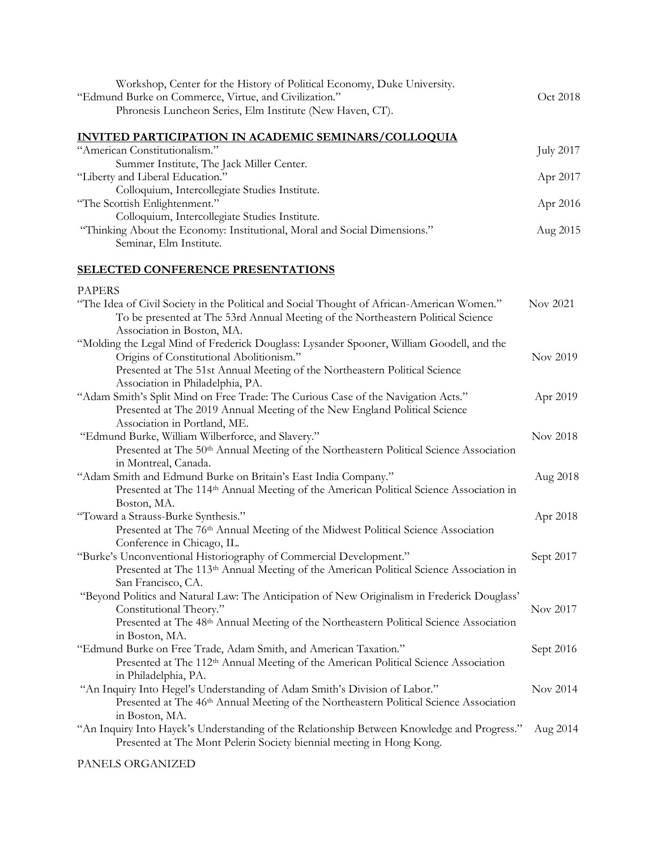| Workshop, Center for the History of Political Economy, Duke University.<br>"Edmund Burke on Commerce, Virtue, and Civilization."<br>Phronesis Luncheon Series, Elm Institute (New Haven, CT).                | Oct 2018         |
|--------------------------------------------------------------------------------------------------------------------------------------------------------------------------------------------------------------|------------------|
| <b>INVITED PARTICIPATION IN ACADEMIC SEMINARS/COLLOQUIA</b>                                                                                                                                                  |                  |
| "American Constitutionalism."                                                                                                                                                                                | <b>July 2017</b> |
| Summer Institute, The Jack Miller Center.                                                                                                                                                                    |                  |
| "Liberty and Liberal Education."                                                                                                                                                                             | Apr 2017         |
| Colloquium, Intercollegiate Studies Institute.                                                                                                                                                               |                  |
| "The Scottish Enlightenment."                                                                                                                                                                                | Apr 2016         |
| Colloquium, Intercollegiate Studies Institute.                                                                                                                                                               |                  |
| "Thinking About the Economy: Institutional, Moral and Social Dimensions."<br>Seminar, Elm Institute.                                                                                                         | Aug 2015         |
| <b>SELECTED CONFERENCE PRESENTATIONS</b>                                                                                                                                                                     |                  |
| <b>PAPERS</b>                                                                                                                                                                                                |                  |
| "The Idea of Civil Society in the Political and Social Thought of African-American Women."<br>To be presented at The 53rd Annual Meeting of the Northeastern Political Science<br>Association in Boston, MA. | Nov 2021         |
| "Molding the Legal Mind of Frederick Douglass: Lysander Spooner, William Goodell, and the                                                                                                                    |                  |
| Origins of Constitutional Abolitionism."                                                                                                                                                                     | Nov 2019         |
| Presented at The 51st Annual Meeting of the Northeastern Political Science                                                                                                                                   |                  |
| Association in Philadelphia, PA.                                                                                                                                                                             |                  |
| "Adam Smith's Split Mind on Free Trade: The Curious Case of the Navigation Acts."                                                                                                                            | Apr 2019         |
| Presented at The 2019 Annual Meeting of the New England Political Science                                                                                                                                    |                  |
| Association in Portland, ME.                                                                                                                                                                                 |                  |
| "Edmund Burke, William Wilberforce, and Slavery."                                                                                                                                                            | Nov 2018         |
| Presented at The 50th Annual Meeting of the Northeastern Political Science Association                                                                                                                       |                  |
| in Montreal, Canada.                                                                                                                                                                                         |                  |
| "Adam Smith and Edmund Burke on Britain's East India Company."                                                                                                                                               | Aug 2018         |
| Presented at The 114th Annual Meeting of the American Political Science Association in                                                                                                                       |                  |
| Boston, MA.                                                                                                                                                                                                  |                  |
| "Toward a Strauss-Burke Synthesis."                                                                                                                                                                          | Apr 2018         |
| Presented at The 76th Annual Meeting of the Midwest Political Science Association                                                                                                                            |                  |
| Conference in Chicago, IL.                                                                                                                                                                                   |                  |
| "Burke's Unconventional Historiography of Commercial Development."                                                                                                                                           | Sept 2017        |
| Presented at The 113 <sup>th</sup> Annual Meeting of the American Political Science Association in                                                                                                           |                  |
| San Francisco, CA.                                                                                                                                                                                           |                  |
| "Beyond Politics and Natural Law: The Anticipation of New Originalism in Frederick Douglass"<br>Constitutional Theory."                                                                                      | Nov 2017         |
| Presented at The 48 <sup>th</sup> Annual Meeting of the Northeastern Political Science Association                                                                                                           |                  |
| in Boston, MA.                                                                                                                                                                                               |                  |
| "Edmund Burke on Free Trade, Adam Smith, and American Taxation."                                                                                                                                             | Sept 2016        |
| Presented at The 112 <sup>th</sup> Annual Meeting of the American Political Science Association                                                                                                              |                  |
| in Philadelphia, PA.                                                                                                                                                                                         |                  |
| "An Inquiry Into Hegel's Understanding of Adam Smith's Division of Labor."                                                                                                                                   | Nov 2014         |
| Presented at The 46 <sup>th</sup> Annual Meeting of the Northeastern Political Science Association                                                                                                           |                  |
| in Boston, MA.                                                                                                                                                                                               |                  |
| "An Inquiry Into Hayek's Understanding of the Relationship Between Knowledge and Progress."                                                                                                                  | Aug 2014         |
| Presented at The Mont Pelerin Society biennial meeting in Hong Kong.                                                                                                                                         |                  |
|                                                                                                                                                                                                              |                  |

# PANELS ORGANIZED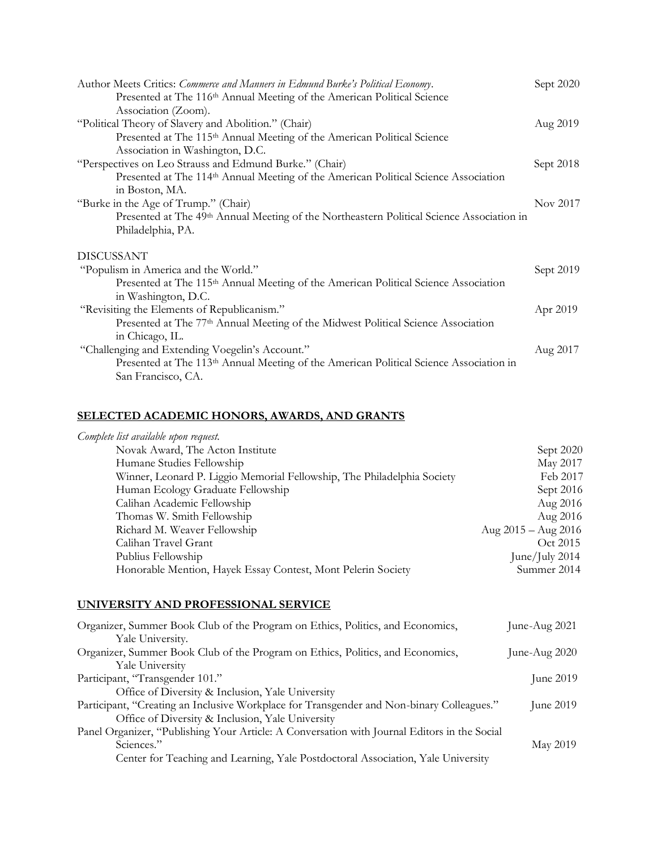| Author Meets Critics: Commerce and Manners in Edmund Burke's Political Economy.                       | Sept 2020 |
|-------------------------------------------------------------------------------------------------------|-----------|
| Presented at The 116 <sup>th</sup> Annual Meeting of the American Political Science                   |           |
| Association (Zoom).                                                                                   |           |
| "Political Theory of Slavery and Abolition." (Chair)                                                  | Aug 2019  |
| Presented at The 115 <sup>th</sup> Annual Meeting of the American Political Science                   |           |
| Association in Washington, D.C.                                                                       |           |
| "Perspectives on Leo Strauss and Edmund Burke." (Chair)                                               | Sept 2018 |
| Presented at The 114 <sup>th</sup> Annual Meeting of the American Political Science Association       |           |
| in Boston, MA.                                                                                        |           |
| "Burke in the Age of Trump." (Chair)                                                                  | Nov 2017  |
| Presented at The 49 <sup>th</sup> Annual Meeting of the Northeastern Political Science Association in |           |
| Philadelphia, PA.                                                                                     |           |
| <b>DISCUSSANT</b>                                                                                     |           |
| "Populism in America and the World."                                                                  | Sept 2019 |
| Presented at The 115 <sup>th</sup> Annual Meeting of the American Political Science Association       |           |
| in Washington, D.C.                                                                                   |           |
| "Revisiting the Elements of Republicanism."                                                           | Apr 2019  |
| Presented at The 77 <sup>th</sup> Annual Meeting of the Midwest Political Science Association         |           |
| in Chicago, IL.                                                                                       |           |
| "Challenging and Extending Voegelin's Account."                                                       | Aug 2017  |
| Presented at The 113 <sup>th</sup> Annual Meeting of the American Political Science Association in    |           |
| San Francisco, CA.                                                                                    |           |
|                                                                                                       |           |

# **SELECTED ACADEMIC HONORS, AWARDS, AND GRANTS**

| Complete list available upon request.                                   |                         |
|-------------------------------------------------------------------------|-------------------------|
| Novak Award, The Acton Institute                                        | Sept 2020               |
| Humane Studies Fellowship                                               | May 2017                |
| Winner, Leonard P. Liggio Memorial Fellowship, The Philadelphia Society | Feb 2017                |
| Human Ecology Graduate Fellowship                                       | Sept 2016               |
| Calihan Academic Fellowship                                             | Aug 2016                |
| Thomas W. Smith Fellowship                                              | Aug 2016                |
| Richard M. Weaver Fellowship                                            | Aug $2015 -$ Aug $2016$ |
| Calihan Travel Grant                                                    | Oct 2015                |
| Publius Fellowship                                                      | June/July 2014          |
| Honorable Mention, Hayek Essay Contest, Mont Pelerin Society            | Summer 2014             |
|                                                                         |                         |

# **UNIVERSITY AND PROFESSIONAL SERVICE**

| Organizer, Summer Book Club of the Program on Ethics, Politics, and Economics,               | June-Aug $2021$ |
|----------------------------------------------------------------------------------------------|-----------------|
| Yale University.                                                                             |                 |
| Organizer, Summer Book Club of the Program on Ethics, Politics, and Economics,               | June-Aug 2020   |
| Yale University                                                                              |                 |
| Participant, "Transgender 101."                                                              | June $2019$     |
| Office of Diversity & Inclusion, Yale University                                             |                 |
| Participant, "Creating an Inclusive Workplace for Transgender and Non-binary Colleagues."    | June 2019       |
| Office of Diversity & Inclusion, Yale University                                             |                 |
| Panel Organizer, "Publishing Your Article: A Conversation with Journal Editors in the Social |                 |
| Sciences."                                                                                   | May 2019        |
| Center for Teaching and Learning, Yale Postdoctoral Association, Yale University             |                 |
|                                                                                              |                 |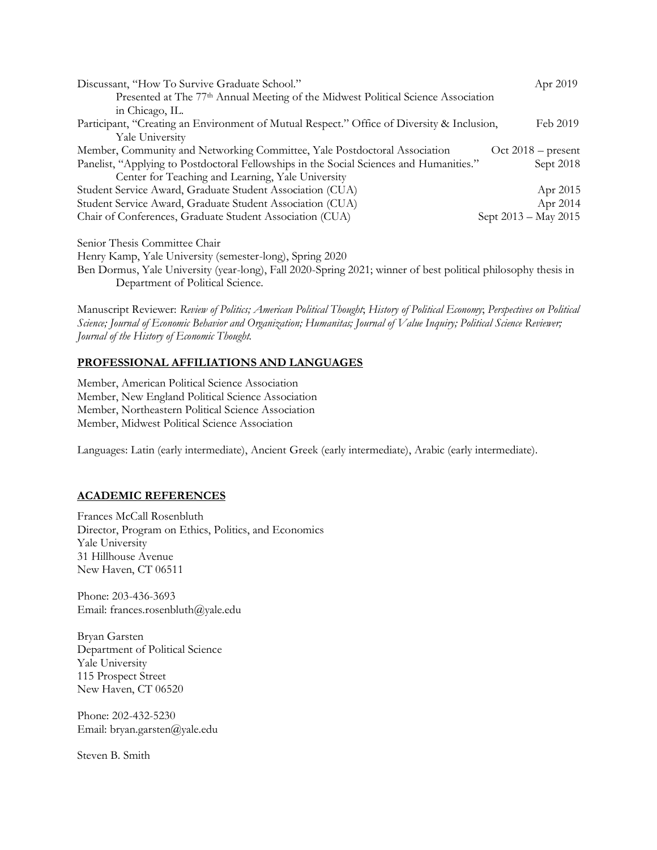| Discussant, "How To Survive Graduate School."                                                 | Apr 2019             |
|-----------------------------------------------------------------------------------------------|----------------------|
| Presented at The 77 <sup>th</sup> Annual Meeting of the Midwest Political Science Association |                      |
| in Chicago, IL.                                                                               |                      |
| Participant, "Creating an Environment of Mutual Respect." Office of Diversity & Inclusion,    | Feb 2019             |
| <b>Yale University</b>                                                                        |                      |
| Member, Community and Networking Committee, Yale Postdoctoral Association                     | $Oct 2018 - present$ |
| Panelist, "Applying to Postdoctoral Fellowships in the Social Sciences and Humanities."       | Sept 2018            |
| Center for Teaching and Learning, Yale University                                             |                      |
| Student Service Award, Graduate Student Association (CUA)                                     | Apr 2015             |
| Student Service Award, Graduate Student Association (CUA)                                     | Apr 2014             |
| Chair of Conferences, Graduate Student Association (CUA)                                      | Sept 2013 – May 2015 |
| Senior Thesis Committee Chair                                                                 |                      |

Henry Kamp, Yale University (semester-long), Spring 2020

Ben Dormus, Yale University (year-long), Fall 2020-Spring 2021; winner of best political philosophy thesis in Department of Political Science.

Manuscript Reviewer: *Review of Politics; American Political Thought*; *History of Political Economy*; *Perspectives on Political Science; Journal of Economic Behavior and Organization; Humanitas; Journal of Value Inquiry; Political Science Reviewer; Journal of the History of Economic Thought.*

# **PROFESSIONAL AFFILIATIONS AND LANGUAGES**

Member, American Political Science Association Member, New England Political Science Association Member, Northeastern Political Science Association Member, Midwest Political Science Association

Languages: Latin (early intermediate), Ancient Greek (early intermediate), Arabic (early intermediate).

# **ACADEMIC REFERENCES**

Frances McCall Rosenbluth Director, Program on Ethics, Politics, and Economics Yale University 31 Hillhouse Avenue New Haven, CT 06511

Phone: 203-436-3693 Email: frances.rosenbluth@yale.edu

Bryan Garsten Department of Political Science Yale University 115 Prospect Street New Haven, CT 06520

Phone: 202-432-5230 Email: bryan.garsten@yale.edu

Steven B. Smith